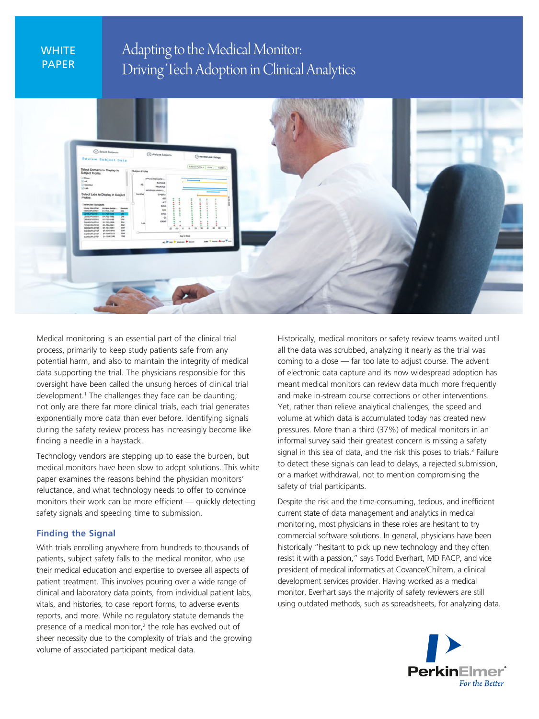# **WHITE** PAPER

Adapting to the Medical Monitor: Driving Tech Adoption in Clinical Analytics



Medical monitoring is an essential part of the clinical trial process, primarily to keep study patients safe from any potential harm, and also to maintain the integrity of medical data supporting the trial. The physicians responsible for this oversight have been called the unsung heroes of clinical trial development.1 The challenges they face can be daunting; not only are there far more clinical trials, each trial generates exponentially more data than ever before. Identifying signals during the safety review process has increasingly become like finding a needle in a haystack.

Technology vendors are stepping up to ease the burden, but medical monitors have been slow to adopt solutions. This white paper examines the reasons behind the physician monitors' reluctance, and what technology needs to offer to convince monitors their work can be more efficient — quickly detecting safety signals and speeding time to submission.

## **Finding the Signal**

With trials enrolling anywhere from hundreds to thousands of patients, subject safety falls to the medical monitor, who use their medical education and expertise to oversee all aspects of patient treatment. This involves pouring over a wide range of clinical and laboratory data points, from individual patient labs, vitals, and histories, to case report forms, to adverse events reports, and more. While no regulatory statute demands the presence of a medical monitor,<sup>2</sup> the role has evolved out of sheer necessity due to the complexity of trials and the growing volume of associated participant medical data.

Historically, medical monitors or safety review teams waited until all the data was scrubbed, analyzing it nearly as the trial was coming to a close — far too late to adjust course. The advent of electronic data capture and its now widespread adoption has meant medical monitors can review data much more frequently and make in-stream course corrections or other interventions. Yet, rather than relieve analytical challenges, the speed and volume at which data is accumulated today has created new pressures. More than a third (37%) of medical monitors in an informal survey said their greatest concern is missing a safety signal in this sea of data, and the risk this poses to trials.<sup>3</sup> Failure to detect these signals can lead to delays, a rejected submission, or a market withdrawal, not to mention compromising the safety of trial participants.

Despite the risk and the time-consuming, tedious, and inefficient current state of data management and analytics in medical monitoring, most physicians in these roles are hesitant to try commercial software solutions. In general, physicians have been historically "hesitant to pick up new technology and they often resist it with a passion," says Todd Everhart, MD FACP, and vice president of medical informatics at Covance/Chiltern, a clinical development services provider. Having worked as a medical monitor, Everhart says the majority of safety reviewers are still using outdated methods, such as spreadsheets, for analyzing data.

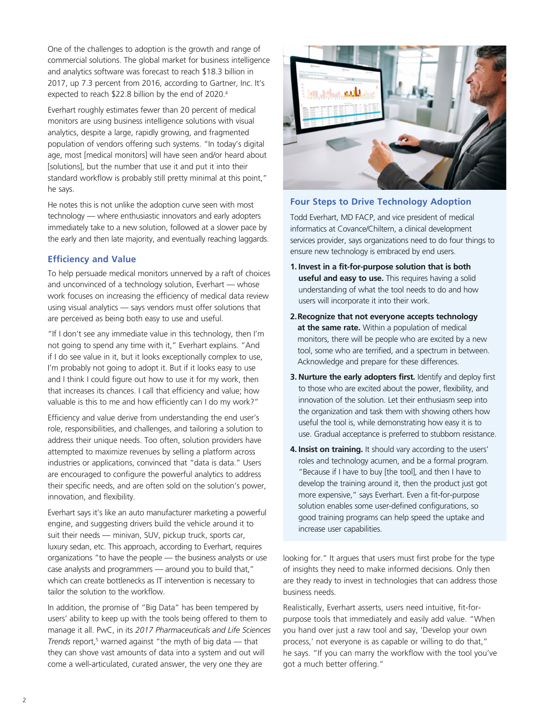One of the challenges to adoption is the growth and range of commercial solutions. The global market for business intelligence and analytics software was forecast to reach \$18.3 billion in 2017, up 7.3 percent from 2016, according to Gartner, Inc. It's expected to reach \$22.8 billion by the end of 2020.4

Everhart roughly estimates fewer than 20 percent of medical monitors are using business intelligence solutions with visual analytics, despite a large, rapidly growing, and fragmented population of vendors offering such systems. "In today's digital age, most [medical monitors] will have seen and/or heard about [solutions], but the number that use it and put it into their standard workflow is probably still pretty minimal at this point," he says.

He notes this is not unlike the adoption curve seen with most technology — where enthusiastic innovators and early adopters immediately take to a new solution, followed at a slower pace by the early and then late majority, and eventually reaching laggards.

## **Efficiency and Value**

To help persuade medical monitors unnerved by a raft of choices and unconvinced of a technology solution, Everhart — whose work focuses on increasing the efficiency of medical data review using visual analytics — says vendors must offer solutions that are perceived as being both easy to use and useful.

"If I don't see any immediate value in this technology, then I'm not going to spend any time with it," Everhart explains. "And if I do see value in it, but it looks exceptionally complex to use, I'm probably not going to adopt it. But if it looks easy to use and I think I could figure out how to use it for my work, then that increases its chances. I call that efficiency and value; how valuable is this to me and how efficiently can I do my work?"

Efficiency and value derive from understanding the end user's role, responsibilities, and challenges, and tailoring a solution to address their unique needs. Too often, solution providers have attempted to maximize revenues by selling a platform across industries or applications, convinced that "data is data." Users are encouraged to configure the powerful analytics to address their specific needs, and are often sold on the solution's power, innovation, and flexibility.

Everhart says it's like an auto manufacturer marketing a powerful engine, and suggesting drivers build the vehicle around it to suit their needs — minivan, SUV, pickup truck, sports car, luxury sedan, etc. This approach, according to Everhart, requires organizations "to have the people — the business analysts or use case analysts and programmers — around you to build that," which can create bottlenecks as IT intervention is necessary to tailor the solution to the workflow.

In addition, the promise of "Big Data" has been tempered by users' ability to keep up with the tools being offered to them to manage it all. PwC, in its *2017 Pharmaceuticals and Life Sciences Trends* report,<sup>5</sup> warned against "the myth of big data — that they can shove vast amounts of data into a system and out will come a well-articulated, curated answer, the very one they are



## **Four Steps to Drive Technology Adoption**

Todd Everhart, MD FACP, and vice president of medical informatics at Covance/Chiltern, a clinical development services provider, says organizations need to do four things to ensure new technology is embraced by end users.

- **1. Invest in a fit-for-purpose solution that is both useful and easy to use.** This requires having a solid understanding of what the tool needs to do and how users will incorporate it into their work.
- **2. Recognize that not everyone accepts technology at the same rate.** Within a population of medical monitors, there will be people who are excited by a new tool, some who are terrified, and a spectrum in between. Acknowledge and prepare for these differences.
- **3. Nurture the early adopters first.** Identify and deploy first to those who are excited about the power, flexibility, and innovation of the solution. Let their enthusiasm seep into the organization and task them with showing others how useful the tool is, while demonstrating how easy it is to use. Gradual acceptance is preferred to stubborn resistance.
- **4. Insist on training.** It should vary according to the users' roles and technology acumen, and be a formal program. "Because if I have to buy [the tool], and then I have to develop the training around it, then the product just got more expensive," says Everhart. Even a fit-for-purpose solution enables some user-defined configurations, so good training programs can help speed the uptake and increase user capabilities.

looking for." It argues that users must first probe for the type of insights they need to make informed decisions. Only then are they ready to invest in technologies that can address those business needs.

Realistically, Everhart asserts, users need intuitive, fit-forpurpose tools that immediately and easily add value. "When you hand over just a raw tool and say, 'Develop your own process,' not everyone is as capable or willing to do that," he says. "If you can marry the workflow with the tool you've got a much better offering."